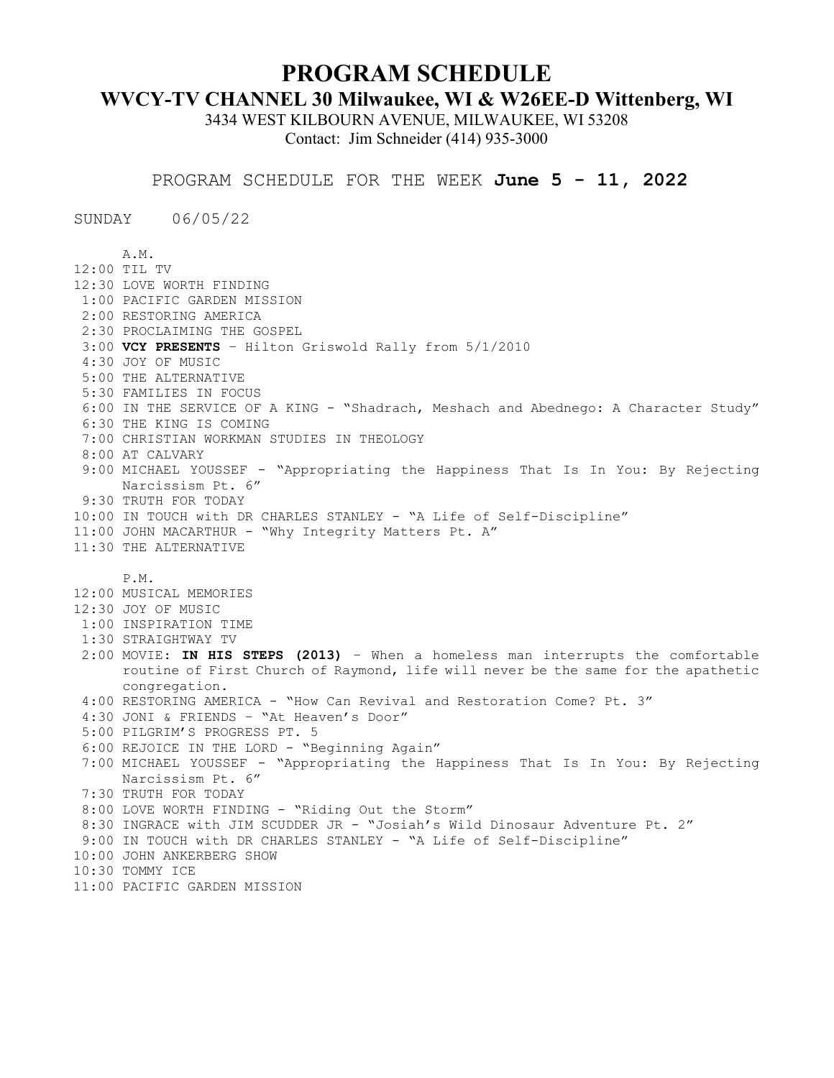## **PROGRAM SCHEDULE**

## **WVCY-TV CHANNEL 30 Milwaukee, WI & W26EE-D Wittenberg, WI**

3434 WEST KILBOURN AVENUE, MILWAUKEE, WI 53208 Contact: Jim Schneider (414) 935-3000

PROGRAM SCHEDULE FOR THE WEEK **June 5 - 11, 2022**

SUNDAY 06/05/22

A.M. 12:00 TIL TV 12:30 LOVE WORTH FINDING 1:00 PACIFIC GARDEN MISSION 2:00 RESTORING AMERICA 2:30 PROCLAIMING THE GOSPEL 3:00 **VCY PRESENTS** – Hilton Griswold Rally from 5/1/2010 4:30 JOY OF MUSIC 5:00 THE ALTERNATIVE 5:30 FAMILIES IN FOCUS 6:00 IN THE SERVICE OF A KING - "Shadrach, Meshach and Abednego: A Character Study" 6:30 THE KING IS COMING 7:00 CHRISTIAN WORKMAN STUDIES IN THEOLOGY 8:00 AT CALVARY 9:00 MICHAEL YOUSSEF - "Appropriating the Happiness That Is In You: By Rejecting Narcissism Pt. 6" 9:30 TRUTH FOR TODAY 10:00 IN TOUCH with DR CHARLES STANLEY - "A Life of Self-Discipline" 11:00 JOHN MACARTHUR - "Why Integrity Matters Pt. A" 11:30 THE ALTERNATIVE P.M. 12:00 MUSICAL MEMORIES 12:30 JOY OF MUSIC 1:00 INSPIRATION TIME 1:30 STRAIGHTWAY TV 2:00 MOVIE: **IN HIS STEPS (2013)** – When a homeless man interrupts the comfortable routine of First Church of Raymond, life will never be the same for the apathetic congregation. 4:00 RESTORING AMERICA - "How Can Revival and Restoration Come? Pt. 3" 4:30 JONI & FRIENDS – "At Heaven's Door" 5:00 PILGRIM'S PROGRESS PT. 5 6:00 REJOICE IN THE LORD - "Beginning Again" 7:00 MICHAEL YOUSSEF - "Appropriating the Happiness That Is In You: By Rejecting Narcissism Pt. 6" 7:30 TRUTH FOR TODAY 8:00 LOVE WORTH FINDING - "Riding Out the Storm" 8:30 INGRACE with JIM SCUDDER JR - "Josiah's Wild Dinosaur Adventure Pt. 2" 9:00 IN TOUCH with DR CHARLES STANLEY - "A Life of Self-Discipline" 10:00 JOHN ANKERBERG SHOW 10:30 TOMMY ICE 11:00 PACIFIC GARDEN MISSION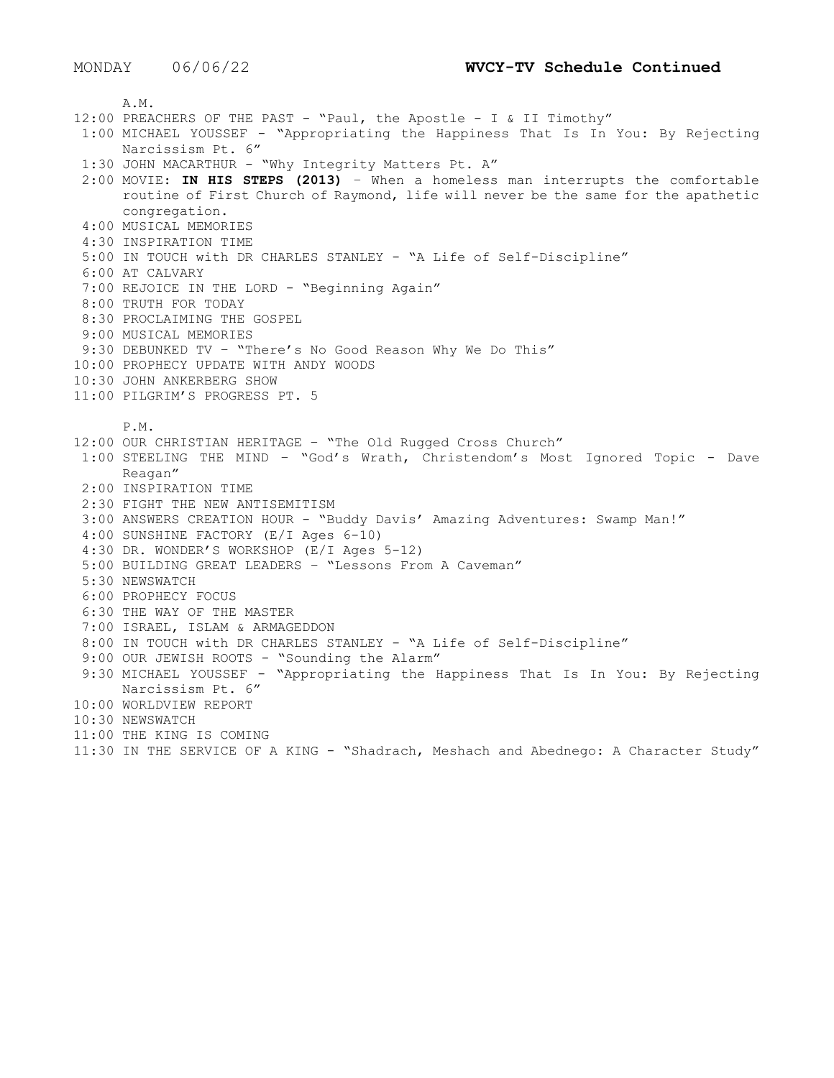A.M. 12:00 PREACHERS OF THE PAST - "Paul, the Apostle - I & II Timothy" 1:00 MICHAEL YOUSSEF - "Appropriating the Happiness That Is In You: By Rejecting Narcissism Pt. 6" 1:30 JOHN MACARTHUR - "Why Integrity Matters Pt. A" 2:00 MOVIE: **IN HIS STEPS (2013)** – When a homeless man interrupts the comfortable routine of First Church of Raymond, life will never be the same for the apathetic congregation. 4:00 MUSICAL MEMORIES 4:30 INSPIRATION TIME 5:00 IN TOUCH with DR CHARLES STANLEY - "A Life of Self-Discipline" 6:00 AT CALVARY 7:00 REJOICE IN THE LORD - "Beginning Again" 8:00 TRUTH FOR TODAY 8:30 PROCLAIMING THE GOSPEL 9:00 MUSICAL MEMORIES 9:30 DEBUNKED TV – "There's No Good Reason Why We Do This" 10:00 PROPHECY UPDATE WITH ANDY WOODS 10:30 JOHN ANKERBERG SHOW 11:00 PILGRIM'S PROGRESS PT. 5 P.M. 12:00 OUR CHRISTIAN HERITAGE – "The Old Rugged Cross Church" 1:00 STEELING THE MIND – "God's Wrath, Christendom's Most Ignored Topic - Dave Reagan" 2:00 INSPIRATION TIME 2:30 FIGHT THE NEW ANTISEMITISM 3:00 ANSWERS CREATION HOUR - "Buddy Davis' Amazing Adventures: Swamp Man!" 4:00 SUNSHINE FACTORY (E/I Ages 6-10) 4:30 DR. WONDER'S WORKSHOP (E/I Ages 5-12) 5:00 BUILDING GREAT LEADERS – "Lessons From A Caveman" 5:30 NEWSWATCH 6:00 PROPHECY FOCUS 6:30 THE WAY OF THE MASTER 7:00 ISRAEL, ISLAM & ARMAGEDDON 8:00 IN TOUCH with DR CHARLES STANLEY - "A Life of Self-Discipline" 9:00 OUR JEWISH ROOTS - "Sounding the Alarm" 9:30 MICHAEL YOUSSEF - "Appropriating the Happiness That Is In You: By Rejecting Narcissism Pt. 6" 10:00 WORLDVIEW REPORT 10:30 NEWSWATCH 11:00 THE KING IS COMING 11:30 IN THE SERVICE OF A KING - "Shadrach, Meshach and Abednego: A Character Study"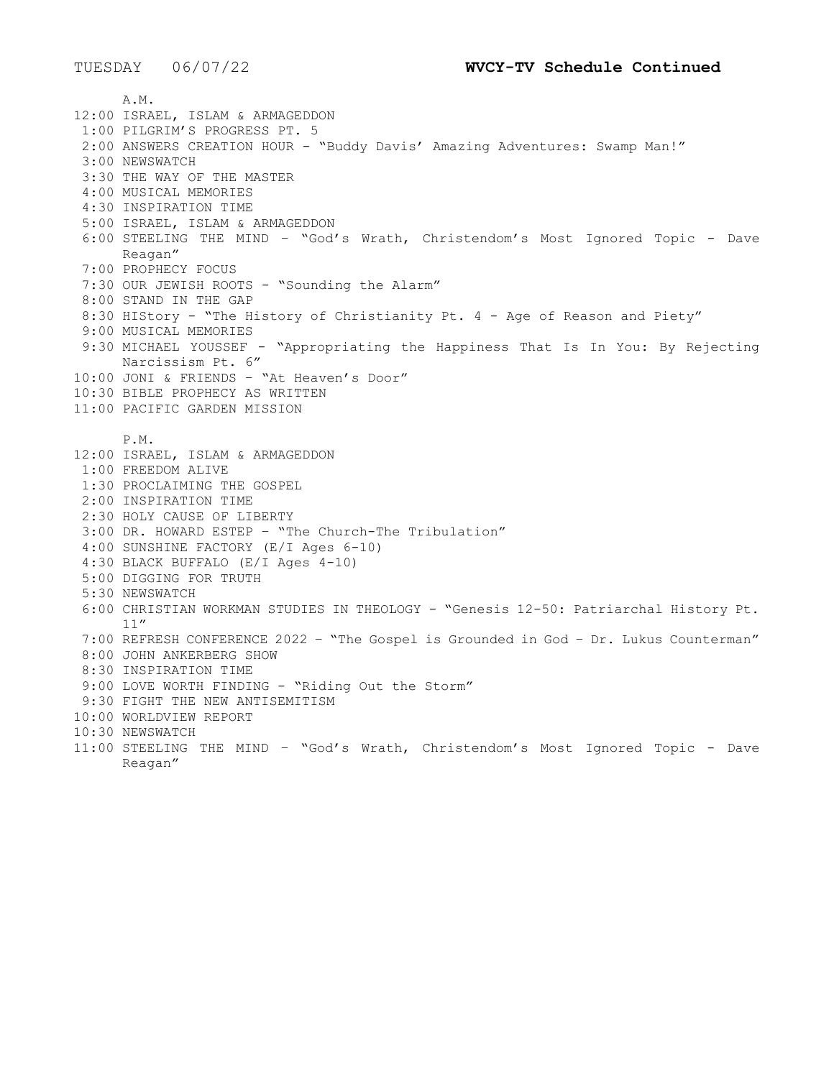A.M. 12:00 ISRAEL, ISLAM & ARMAGEDDON 1:00 PILGRIM'S PROGRESS PT. 5 2:00 ANSWERS CREATION HOUR - "Buddy Davis' Amazing Adventures: Swamp Man!" 3:00 NEWSWATCH 3:30 THE WAY OF THE MASTER 4:00 MUSICAL MEMORIES 4:30 INSPIRATION TIME 5:00 ISRAEL, ISLAM & ARMAGEDDON 6:00 STEELING THE MIND – "God's Wrath, Christendom's Most Ignored Topic - Dave Reagan" 7:00 PROPHECY FOCUS 7:30 OUR JEWISH ROOTS - "Sounding the Alarm" 8:00 STAND IN THE GAP 8:30 HIStory - "The History of Christianity Pt. 4 - Age of Reason and Piety" 9:00 MUSICAL MEMORIES 9:30 MICHAEL YOUSSEF - "Appropriating the Happiness That Is In You: By Rejecting Narcissism Pt. 6" 10:00 JONI & FRIENDS – "At Heaven's Door" 10:30 BIBLE PROPHECY AS WRITTEN 11:00 PACIFIC GARDEN MISSION P.M. 12:00 ISRAEL, ISLAM & ARMAGEDDON 1:00 FREEDOM ALIVE 1:30 PROCLAIMING THE GOSPEL 2:00 INSPIRATION TIME 2:30 HOLY CAUSE OF LIBERTY 3:00 DR. HOWARD ESTEP – "The Church-The Tribulation" 4:00 SUNSHINE FACTORY (E/I Ages 6-10) 4:30 BLACK BUFFALO (E/I Ages 4-10) 5:00 DIGGING FOR TRUTH 5:30 NEWSWATCH 6:00 CHRISTIAN WORKMAN STUDIES IN THEOLOGY - "Genesis 12-50: Patriarchal History Pt. 11" 7:00 REFRESH CONFERENCE 2022 – "The Gospel is Grounded in God – Dr. Lukus Counterman" 8:00 JOHN ANKERBERG SHOW 8:30 INSPIRATION TIME 9:00 LOVE WORTH FINDING - "Riding Out the Storm" 9:30 FIGHT THE NEW ANTISEMITISM 10:00 WORLDVIEW REPORT 10:30 NEWSWATCH 11:00 STEELING THE MIND – "God's Wrath, Christendom's Most Ignored Topic - Dave Reagan"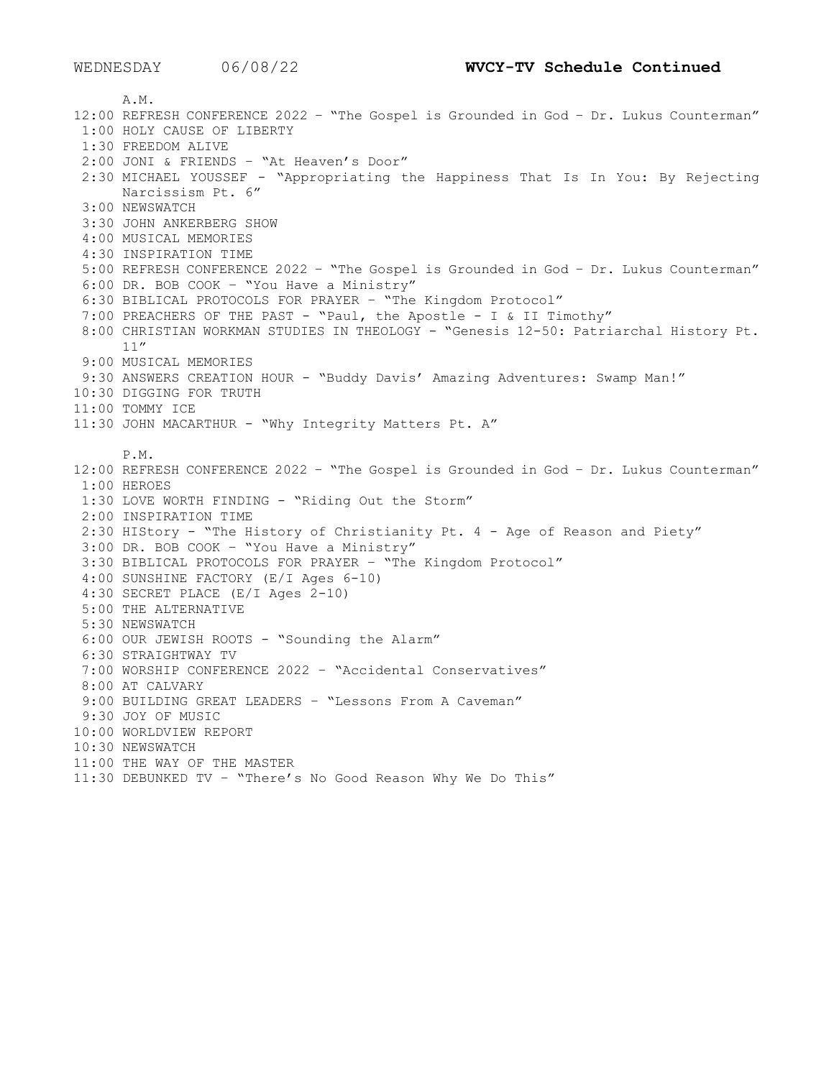A.M. 12:00 REFRESH CONFERENCE 2022 – "The Gospel is Grounded in God – Dr. Lukus Counterman" 1:00 HOLY CAUSE OF LIBERTY 1:30 FREEDOM ALIVE 2:00 JONI & FRIENDS – "At Heaven's Door" 2:30 MICHAEL YOUSSEF - "Appropriating the Happiness That Is In You: By Rejecting Narcissism Pt. 6" 3:00 NEWSWATCH 3:30 JOHN ANKERBERG SHOW 4:00 MUSICAL MEMORIES 4:30 INSPIRATION TIME 5:00 REFRESH CONFERENCE 2022 – "The Gospel is Grounded in God – Dr. Lukus Counterman" 6:00 DR. BOB COOK – "You Have a Ministry" 6:30 BIBLICAL PROTOCOLS FOR PRAYER – "The Kingdom Protocol" 7:00 PREACHERS OF THE PAST - "Paul, the Apostle - I & II Timothy" 8:00 CHRISTIAN WORKMAN STUDIES IN THEOLOGY - "Genesis 12-50: Patriarchal History Pt. 11" 9:00 MUSICAL MEMORIES 9:30 ANSWERS CREATION HOUR - "Buddy Davis' Amazing Adventures: Swamp Man!" 10:30 DIGGING FOR TRUTH 11:00 TOMMY ICE 11:30 JOHN MACARTHUR - "Why Integrity Matters Pt. A" P.M. 12:00 REFRESH CONFERENCE 2022 – "The Gospel is Grounded in God – Dr. Lukus Counterman" 1:00 HEROES 1:30 LOVE WORTH FINDING - "Riding Out the Storm" 2:00 INSPIRATION TIME 2:30 HIStory - "The History of Christianity Pt. 4 - Age of Reason and Piety" 3:00 DR. BOB COOK – "You Have a Ministry" 3:30 BIBLICAL PROTOCOLS FOR PRAYER – "The Kingdom Protocol" 4:00 SUNSHINE FACTORY (E/I Ages 6-10) 4:30 SECRET PLACE (E/I Ages 2-10) 5:00 THE ALTERNATIVE 5:30 NEWSWATCH 6:00 OUR JEWISH ROOTS - "Sounding the Alarm" 6:30 STRAIGHTWAY TV 7:00 WORSHIP CONFERENCE 2022 – "Accidental Conservatives" 8:00 AT CALVARY 9:00 BUILDING GREAT LEADERS – "Lessons From A Caveman" 9:30 JOY OF MUSIC 10:00 WORLDVIEW REPORT 10:30 NEWSWATCH 11:00 THE WAY OF THE MASTER 11:30 DEBUNKED TV – "There's No Good Reason Why We Do This"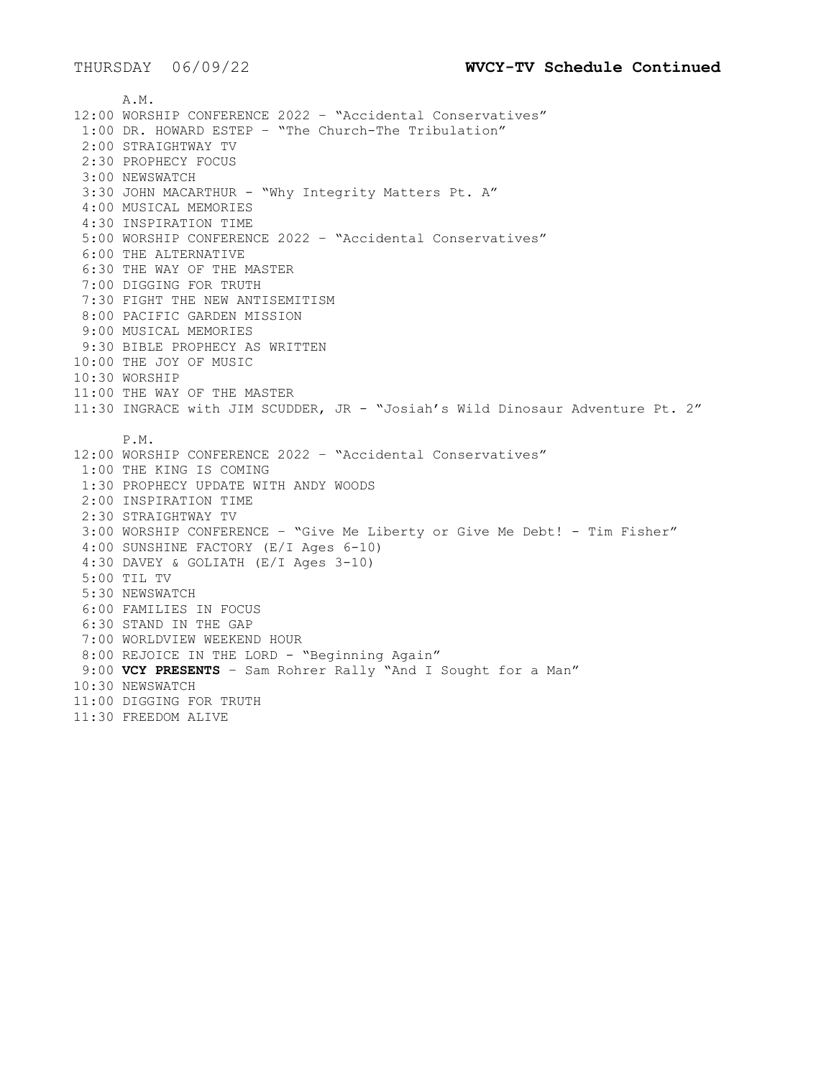A.M. 12:00 WORSHIP CONFERENCE 2022 – "Accidental Conservatives" 1:00 DR. HOWARD ESTEP – "The Church-The Tribulation" 2:00 STRAIGHTWAY TV 2:30 PROPHECY FOCUS 3:00 NEWSWATCH 3:30 JOHN MACARTHUR - "Why Integrity Matters Pt. A" 4:00 MUSICAL MEMORIES 4:30 INSPIRATION TIME 5:00 WORSHIP CONFERENCE 2022 – "Accidental Conservatives" 6:00 THE ALTERNATIVE 6:30 THE WAY OF THE MASTER 7:00 DIGGING FOR TRUTH 7:30 FIGHT THE NEW ANTISEMITISM 8:00 PACIFIC GARDEN MISSION 9:00 MUSICAL MEMORIES 9:30 BIBLE PROPHECY AS WRITTEN 10:00 THE JOY OF MUSIC 10:30 WORSHIP 11:00 THE WAY OF THE MASTER 11:30 INGRACE with JIM SCUDDER, JR - "Josiah's Wild Dinosaur Adventure Pt. 2" P.M. 12:00 WORSHIP CONFERENCE 2022 – "Accidental Conservatives" 1:00 THE KING IS COMING 1:30 PROPHECY UPDATE WITH ANDY WOODS 2:00 INSPIRATION TIME 2:30 STRAIGHTWAY TV 3:00 WORSHIP CONFERENCE – "Give Me Liberty or Give Me Debt! - Tim Fisher" 4:00 SUNSHINE FACTORY (E/I Ages 6-10) 4:30 DAVEY & GOLIATH (E/I Ages 3-10) 5:00 TIL TV 5:30 NEWSWATCH 6:00 FAMILIES IN FOCUS 6:30 STAND IN THE GAP 7:00 WORLDVIEW WEEKEND HOUR 8:00 REJOICE IN THE LORD - "Beginning Again" 9:00 **VCY PRESENTS** – Sam Rohrer Rally "And I Sought for a Man" 10:30 NEWSWATCH 11:00 DIGGING FOR TRUTH 11:30 FREEDOM ALIVE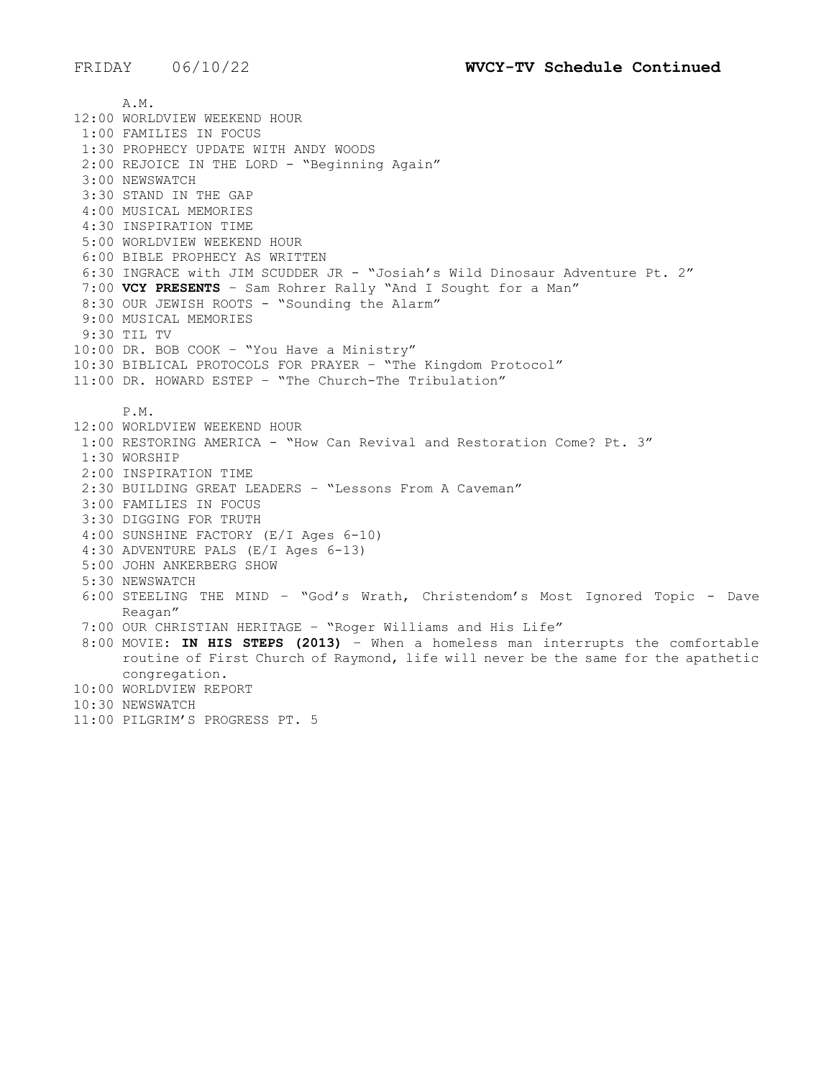A.M. 12:00 WORLDVIEW WEEKEND HOUR 1:00 FAMILIES IN FOCUS 1:30 PROPHECY UPDATE WITH ANDY WOODS 2:00 REJOICE IN THE LORD - "Beginning Again" 3:00 NEWSWATCH 3:30 STAND IN THE GAP 4:00 MUSICAL MEMORIES 4:30 INSPIRATION TIME 5:00 WORLDVIEW WEEKEND HOUR 6:00 BIBLE PROPHECY AS WRITTEN 6:30 INGRACE with JIM SCUDDER JR - "Josiah's Wild Dinosaur Adventure Pt. 2" 7:00 **VCY PRESENTS** – Sam Rohrer Rally "And I Sought for a Man" 8:30 OUR JEWISH ROOTS - "Sounding the Alarm" 9:00 MUSICAL MEMORIES 9:30 TIL TV 10:00 DR. BOB COOK – "You Have a Ministry" 10:30 BIBLICAL PROTOCOLS FOR PRAYER – "The Kingdom Protocol" 11:00 DR. HOWARD ESTEP – "The Church-The Tribulation" P.M. 12:00 WORLDVIEW WEEKEND HOUR 1:00 RESTORING AMERICA - "How Can Revival and Restoration Come? Pt. 3" 1:30 WORSHIP 2:00 INSPIRATION TIME 2:30 BUILDING GREAT LEADERS – "Lessons From A Caveman" 3:00 FAMILIES IN FOCUS 3:30 DIGGING FOR TRUTH 4:00 SUNSHINE FACTORY (E/I Ages 6-10) 4:30 ADVENTURE PALS (E/I Ages 6-13) 5:00 JOHN ANKERBERG SHOW 5:30 NEWSWATCH 6:00 STEELING THE MIND – "God's Wrath, Christendom's Most Ignored Topic - Dave Reagan" 7:00 OUR CHRISTIAN HERITAGE – "Roger Williams and His Life" 8:00 MOVIE: **IN HIS STEPS (2013)** – When a homeless man interrupts the comfortable routine of First Church of Raymond, life will never be the same for the apathetic congregation. 10:00 WORLDVIEW REPORT 10:30 NEWSWATCH 11:00 PILGRIM'S PROGRESS PT. 5